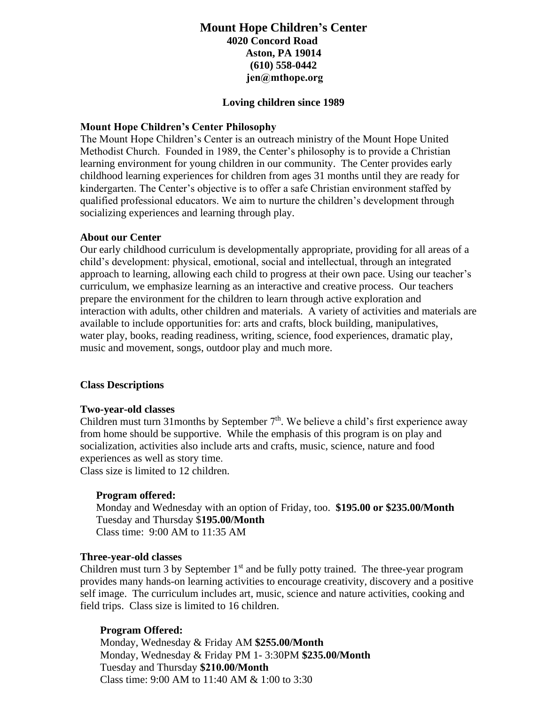# **Mount Hope Children's Center 4020 Concord Road Aston, PA 19014 (610) 558-0442 jen@mthope.org**

#### **Loving children since 1989**

#### **Mount Hope Children's Center Philosophy**

The Mount Hope Children's Center is an outreach ministry of the Mount Hope United Methodist Church. Founded in 1989, the Center's philosophy is to provide a Christian learning environment for young children in our community. The Center provides early childhood learning experiences for children from ages 31 months until they are ready for kindergarten. The Center's objective is to offer a safe Christian environment staffed by qualified professional educators. We aim to nurture the children's development through socializing experiences and learning through play.

### **About our Center**

Our early childhood curriculum is developmentally appropriate, providing for all areas of a child's development: physical, emotional, social and intellectual, through an integrated approach to learning, allowing each child to progress at their own pace. Using our teacher's curriculum, we emphasize learning as an interactive and creative process. Our teachers prepare the environment for the children to learn through active exploration and interaction with adults, other children and materials. A variety of activities and materials are available to include opportunities for: arts and crafts, block building, manipulatives, water play, books, reading readiness, writing, science, food experiences, dramatic play, music and movement, songs, outdoor play and much more.

#### **Class Descriptions**

#### **Two-year-old classes**

Children must turn 31 months by September 7<sup>th</sup>. We believe a child's first experience away from home should be supportive. While the emphasis of this program is on play and socialization, activities also include arts and crafts, music, science, nature and food experiences as well as story time. Class size is limited to 12 children.

## **Program offered:**

Monday and Wednesday with an option of Friday, too. **\$195.00 or \$235.00/Month** Tuesday and Thursday \$**195.00/Month** Class time: 9:00 AM to 11:35 AM

#### **Three-year-old classes**

Children must turn 3 by September  $1<sup>st</sup>$  and be fully potty trained. The three-year program provides many hands-on learning activities to encourage creativity, discovery and a positive self image. The curriculum includes art, music, science and nature activities, cooking and field trips. Class size is limited to 16 children.

## **Program Offered:**

Monday, Wednesday & Friday AM **\$255.00/Month** Monday, Wednesday & Friday PM 1- 3:30PM **\$235.00/Month** Tuesday and Thursday **\$210.00/Month** Class time: 9:00 AM to 11:40 AM & 1:00 to 3:30